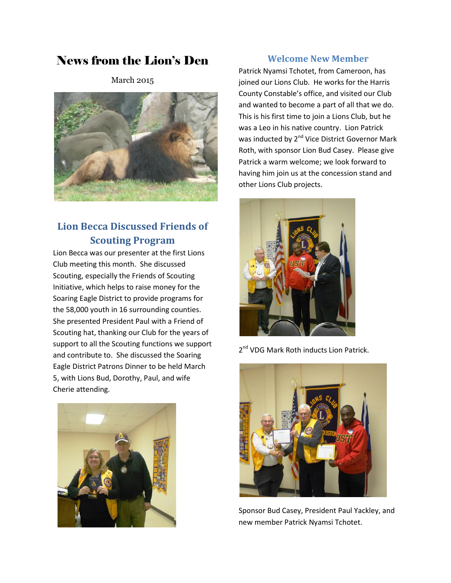# News from the Lion's Den

March 2015



## **Lion Becca Discussed Friends of Scouting Program**

Lion Becca was our presenter at the first Lions Club meeting this month. She discussed Scouting, especially the Friends of Scouting Initiative, which helps to raise money for the Soaring Eagle District to provide programs for the 58,000 youth in 16 surrounding counties. She presented President Paul with a Friend of Scouting hat, thanking our Club for the years of support to all the Scouting functions we support and contribute to. She discussed the Soaring Eagle District Patrons Dinner to be held March 5, with Lions Bud, Dorothy, Paul, and wife Cherie attending.



### **Welcome New Member**

Patrick Nyamsi Tchotet, from Cameroon, has joined our Lions Club. He works for the Harris County Constable's office, and visited our Club and wanted to become a part of all that we do. This is his first time to join a Lions Club, but he was a Leo in his native country. Lion Patrick was inducted by 2<sup>nd</sup> Vice District Governor Mark Roth, with sponsor Lion Bud Casey. Please give Patrick a warm welcome; we look forward to having him join us at the concession stand and other Lions Club projects.



2<sup>nd</sup> VDG Mark Roth inducts Lion Patrick.



Sponsor Bud Casey, President Paul Yackley, and new member Patrick Nyamsi Tchotet.